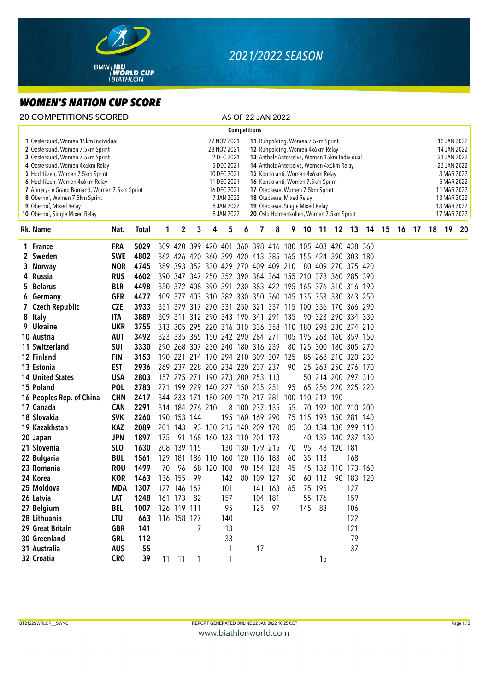

## *2021/2022 SEASON*

## *WOMEN'S NATION CUP SCORE*

| <b>20 COMPETITIONS SCORED</b>                                                                                                                                                                                                                                                                                                                                       |                            |                   |              |                                                                                                                                                                                                                                                                                                                                                                                                                                                                                                                                             |             |                 |                                 |           |                     |                     | AS OF 22 JAN 2022                   |     |                                                         |             |                    |            |    |    |    |                                                                                                                                                  |    |    |    |  |
|---------------------------------------------------------------------------------------------------------------------------------------------------------------------------------------------------------------------------------------------------------------------------------------------------------------------------------------------------------------------|----------------------------|-------------------|--------------|---------------------------------------------------------------------------------------------------------------------------------------------------------------------------------------------------------------------------------------------------------------------------------------------------------------------------------------------------------------------------------------------------------------------------------------------------------------------------------------------------------------------------------------------|-------------|-----------------|---------------------------------|-----------|---------------------|---------------------|-------------------------------------|-----|---------------------------------------------------------|-------------|--------------------|------------|----|----|----|--------------------------------------------------------------------------------------------------------------------------------------------------|----|----|----|--|
|                                                                                                                                                                                                                                                                                                                                                                     |                            |                   |              |                                                                                                                                                                                                                                                                                                                                                                                                                                                                                                                                             |             |                 |                                 |           | <b>Competitions</b> |                     |                                     |     |                                                         |             |                    |            |    |    |    |                                                                                                                                                  |    |    |    |  |
| 1 Oestersund, Women 15km Individual<br>2 Oestersund, Women 7.5km Sprint<br>3 Oestersund, Women 7.5km Sprint<br>4 Oestersund, Women 4x6km Relay<br>5 Hochfilzen, Women 7.5km Sprint<br>6 Hochfilzen, Women 4x6km Relay<br>7 Annecy-Le Grand Bornand, Women 7.5km Sprint<br>8 Oberhof, Women 7.5km Sprint<br>9 Oberhof, Mixed Relay<br>10 Oberhof, Single Mixed Relay |                            |                   |              | 27 NOV 2021<br>11 Ruhpolding, Women 7.5km Sprint<br>28 NOV 2021<br>12 Ruhpolding, Women 4x6km Relay<br>2 DEC 2021<br>13 Antholz-Anterselva, Women 15km Individual<br>5 DEC 2021<br>14 Antholz-Anterselva, Women 4x6km Relay<br>10 DEC 2021<br>15 Kontiolahti, Women 4x6km Relay<br>11 DEC 2021<br>16 Kontiolahti, Women 7.5km Sprint<br>16 DEC 2021<br>17 Otepaeae, Women 7.5km Sprint<br>7 JAN 2022<br>18 Otepaeae, Mixed Relay<br>8 JAN 2022<br>19 Otepaeae, Single Mixed Relay<br>8 JAN 2022<br>20 Oslo Holmenkollen, Women 7.5km Sprint |             |                 |                                 |           |                     |                     |                                     |     |                                                         |             |                    |            |    |    |    | 12 JAN 2022<br>14 JAN 2022<br>21 JAN 2022<br>22 JAN 2022<br>3 MAR 2022<br>5 MAR 2022<br>11 MAR 2022<br>13 MAR 2022<br>13 MAR 2022<br>17 MAR 2022 |    |    |    |  |
|                                                                                                                                                                                                                                                                                                                                                                     | Rk. Name                   | Nat.              | <b>Total</b> | 1                                                                                                                                                                                                                                                                                                                                                                                                                                                                                                                                           | 2           | 3               | 4                               | 5         | 6                   | 7                   | 8                                   | 9   | 10                                                      | 11          |                    | 12 13      | 14 | 15 | 16 | 17                                                                                                                                               | 18 | 19 | 20 |  |
|                                                                                                                                                                                                                                                                                                                                                                     | 1 France                   | <b>FRA</b>        | 5029         |                                                                                                                                                                                                                                                                                                                                                                                                                                                                                                                                             |             |                 |                                 |           |                     |                     |                                     |     | 309 420 399 420 401 360 398 416 180 105 403 420 438 360 |             |                    |            |    |    |    |                                                                                                                                                  |    |    |    |  |
|                                                                                                                                                                                                                                                                                                                                                                     | 2 Sweden                   | <b>SWE</b>        | 4802         |                                                                                                                                                                                                                                                                                                                                                                                                                                                                                                                                             |             |                 |                                 |           |                     |                     |                                     |     | 362 426 420 360 399 420 413 385 165 155 424 390 303 180 |             |                    |            |    |    |    |                                                                                                                                                  |    |    |    |  |
|                                                                                                                                                                                                                                                                                                                                                                     | 3 Norway                   | <b>NOR</b>        | 4745         |                                                                                                                                                                                                                                                                                                                                                                                                                                                                                                                                             |             |                 |                                 |           |                     |                     | 389 393 352 330 429 270 409 409 210 |     |                                                         |             | 80 409 270 375 420 |            |    |    |    |                                                                                                                                                  |    |    |    |  |
|                                                                                                                                                                                                                                                                                                                                                                     | 4 Russia                   | <b>RUS</b>        | 4602         |                                                                                                                                                                                                                                                                                                                                                                                                                                                                                                                                             |             |                 |                                 |           |                     |                     |                                     |     | 390 347 347 250 352 390 384 364 155 210 378 360 285 390 |             |                    |            |    |    |    |                                                                                                                                                  |    |    |    |  |
| 5.                                                                                                                                                                                                                                                                                                                                                                  | <b>Belarus</b>             | <b>BLR</b>        | 4498         |                                                                                                                                                                                                                                                                                                                                                                                                                                                                                                                                             |             |                 |                                 |           |                     |                     |                                     |     | 350 372 408 390 391 230 383 422 195 165 376 310 316 190 |             |                    |            |    |    |    |                                                                                                                                                  |    |    |    |  |
|                                                                                                                                                                                                                                                                                                                                                                     | 6 Germany                  | <b>GER</b>        | 4477         |                                                                                                                                                                                                                                                                                                                                                                                                                                                                                                                                             |             |                 |                                 |           |                     |                     |                                     |     | 409 377 403 310 382 330 350 360 145 135 353 330 343 250 |             |                    |            |    |    |    |                                                                                                                                                  |    |    |    |  |
|                                                                                                                                                                                                                                                                                                                                                                     | 7 Czech Republic           | <b>CZE</b>        | 3933         |                                                                                                                                                                                                                                                                                                                                                                                                                                                                                                                                             |             |                 |                                 |           |                     |                     |                                     |     | 351 379 317 270 331 250 321 337 115 100 336 170 366 290 |             |                    |            |    |    |    |                                                                                                                                                  |    |    |    |  |
|                                                                                                                                                                                                                                                                                                                                                                     | 8 Italy                    | <b>ITA</b>        | 3889         |                                                                                                                                                                                                                                                                                                                                                                                                                                                                                                                                             |             |                 |                                 |           |                     |                     | 309 311 312 290 343 190 341 291 135 |     |                                                         |             | 90 323 290 334 330 |            |    |    |    |                                                                                                                                                  |    |    |    |  |
|                                                                                                                                                                                                                                                                                                                                                                     | 9 Ukraine                  | <b>UKR</b>        | 3755         |                                                                                                                                                                                                                                                                                                                                                                                                                                                                                                                                             |             |                 |                                 |           |                     |                     |                                     |     | 313 305 295 220 316 310 336 358 110 180 298 230 274 210 |             |                    |            |    |    |    |                                                                                                                                                  |    |    |    |  |
|                                                                                                                                                                                                                                                                                                                                                                     | 10 Austria                 | <b>AUT</b>        | 3492         |                                                                                                                                                                                                                                                                                                                                                                                                                                                                                                                                             |             |                 |                                 |           |                     |                     |                                     |     | 323 335 365 150 242 290 284 271 105 195 263 160 359 150 |             |                    |            |    |    |    |                                                                                                                                                  |    |    |    |  |
|                                                                                                                                                                                                                                                                                                                                                                     | 11 Switzerland             | <b>SUI</b>        | 3330         |                                                                                                                                                                                                                                                                                                                                                                                                                                                                                                                                             |             |                 | 290 268 307 230 240 180 316 239 |           |                     |                     |                                     |     | 80 125 300 180 305 270                                  |             |                    |            |    |    |    |                                                                                                                                                  |    |    |    |  |
|                                                                                                                                                                                                                                                                                                                                                                     | 12 Finland                 | <b>FIN</b>        | 3153         |                                                                                                                                                                                                                                                                                                                                                                                                                                                                                                                                             |             |                 |                                 |           |                     |                     | 190 221 214 170 294 210 309 307 125 |     |                                                         |             | 85 268 210 320 230 |            |    |    |    |                                                                                                                                                  |    |    |    |  |
|                                                                                                                                                                                                                                                                                                                                                                     | 13 Estonia                 | <b>EST</b>        | 2936         |                                                                                                                                                                                                                                                                                                                                                                                                                                                                                                                                             |             |                 | 269 237 228 200 234 220 237 237 |           |                     |                     |                                     | 90  |                                                         |             | 25 263 250 276 170 |            |    |    |    |                                                                                                                                                  |    |    |    |  |
|                                                                                                                                                                                                                                                                                                                                                                     | <b>14 United States</b>    | <b>USA</b>        | 2803         |                                                                                                                                                                                                                                                                                                                                                                                                                                                                                                                                             |             |                 | 157 275 271 190 273 200 253 113 |           |                     |                     |                                     |     |                                                         |             | 50 214 200 297 310 |            |    |    |    |                                                                                                                                                  |    |    |    |  |
|                                                                                                                                                                                                                                                                                                                                                                     | 15 Poland                  | <b>POL</b>        | 2783         |                                                                                                                                                                                                                                                                                                                                                                                                                                                                                                                                             |             |                 | 271 199 229 140 227 150 235 251 |           |                     |                     |                                     | 95  |                                                         |             | 65 256 220 225 220 |            |    |    |    |                                                                                                                                                  |    |    |    |  |
|                                                                                                                                                                                                                                                                                                                                                                     | 16 Peoples Rep. of China   | <b>CHN</b>        | 2417         |                                                                                                                                                                                                                                                                                                                                                                                                                                                                                                                                             | 344 233 171 |                 |                                 |           |                     | 180 209 170 217 281 |                                     | 100 |                                                         | 110 212 190 |                    |            |    |    |    |                                                                                                                                                  |    |    |    |  |
|                                                                                                                                                                                                                                                                                                                                                                     | 17 Canada                  | <b>CAN</b>        | 2291         |                                                                                                                                                                                                                                                                                                                                                                                                                                                                                                                                             |             | 314 184 276 210 |                                 |           |                     | 8 100 237 135       |                                     | 55  |                                                         |             | 70 192 100 210 200 |            |    |    |    |                                                                                                                                                  |    |    |    |  |
|                                                                                                                                                                                                                                                                                                                                                                     | 18 Slovakia                | <b>SVK</b>        | 2260         |                                                                                                                                                                                                                                                                                                                                                                                                                                                                                                                                             | 190 153 144 |                 |                                 |           |                     | 195 160 169 290     |                                     |     | 75 115 198 150 281 140                                  |             |                    |            |    |    |    |                                                                                                                                                  |    |    |    |  |
|                                                                                                                                                                                                                                                                                                                                                                     | 19 Kazakhstan              | KAZ               | 2089         |                                                                                                                                                                                                                                                                                                                                                                                                                                                                                                                                             | 201 143     |                 | 93 130 215 140 209 170          |           |                     |                     |                                     | 85  |                                                         |             | 30 134 130 299 110 |            |    |    |    |                                                                                                                                                  |    |    |    |  |
|                                                                                                                                                                                                                                                                                                                                                                     | 20 Japan                   | <b>JPN</b>        | 1897         | 175                                                                                                                                                                                                                                                                                                                                                                                                                                                                                                                                         | -91         |                 | 168 160 133 110 201 173         |           |                     |                     |                                     |     | 40                                                      |             | 139 140 237 130    |            |    |    |    |                                                                                                                                                  |    |    |    |  |
|                                                                                                                                                                                                                                                                                                                                                                     | 21 Slovenia                | <b>SLO</b>        | 1630         |                                                                                                                                                                                                                                                                                                                                                                                                                                                                                                                                             | 208 139     | 115             |                                 |           |                     | 130 130 179 215     |                                     | 70  | 95                                                      |             | 48 120 181         |            |    |    |    |                                                                                                                                                  |    |    |    |  |
|                                                                                                                                                                                                                                                                                                                                                                     | 22 Bulgaria                | <b>BUL</b>        | 1561         |                                                                                                                                                                                                                                                                                                                                                                                                                                                                                                                                             |             |                 | 129 181 186 110 160 120 116 183 |           |                     |                     |                                     | 60  |                                                         | 35 113      |                    | 168        |    |    |    |                                                                                                                                                  |    |    |    |  |
|                                                                                                                                                                                                                                                                                                                                                                     | 23 Romania                 | <b>ROU</b>        | 1499         | 70                                                                                                                                                                                                                                                                                                                                                                                                                                                                                                                                          | 96          |                 | 68 120 108                      |           |                     | 90 154 128          |                                     | 45  |                                                         |             | 45 132 110 173 160 |            |    |    |    |                                                                                                                                                  |    |    |    |  |
|                                                                                                                                                                                                                                                                                                                                                                     | 24 Korea                   | <b>KOR</b>        | 1463         |                                                                                                                                                                                                                                                                                                                                                                                                                                                                                                                                             | 136 155     | 99              |                                 | 142       |                     | 80 109 127          |                                     | 50  |                                                         | 60 112      |                    | 90 183 120 |    |    |    |                                                                                                                                                  |    |    |    |  |
|                                                                                                                                                                                                                                                                                                                                                                     | 25 Moldova                 | MDA               | 1307         |                                                                                                                                                                                                                                                                                                                                                                                                                                                                                                                                             | 127 146 167 |                 |                                 | 101       |                     |                     | 141 163                             | 65  |                                                         | 75 195      |                    | 127        |    |    |    |                                                                                                                                                  |    |    |    |  |
|                                                                                                                                                                                                                                                                                                                                                                     | 26 Latvia                  | LAT               | 1248         |                                                                                                                                                                                                                                                                                                                                                                                                                                                                                                                                             | 161 173     | -82             |                                 | 157       |                     |                     | 104 181                             |     |                                                         | 55 176      |                    | 159        |    |    |    |                                                                                                                                                  |    |    |    |  |
|                                                                                                                                                                                                                                                                                                                                                                     | 27 Belgium<br>28 Lithuania | <b>BEL</b>        | 1007         |                                                                                                                                                                                                                                                                                                                                                                                                                                                                                                                                             | 126 119 111 |                 |                                 | 95        |                     |                     | 125 97                              |     |                                                         | 145 83      |                    | 106        |    |    |    |                                                                                                                                                  |    |    |    |  |
|                                                                                                                                                                                                                                                                                                                                                                     | 29 Great Britain           | LTU<br><b>GBR</b> | 663<br>141   |                                                                                                                                                                                                                                                                                                                                                                                                                                                                                                                                             | 116 158 127 | 7               |                                 | 140<br>13 |                     |                     |                                     |     |                                                         |             |                    | 122<br>121 |    |    |    |                                                                                                                                                  |    |    |    |  |
|                                                                                                                                                                                                                                                                                                                                                                     | 30 Greenland               | <b>GRL</b>        | 112          |                                                                                                                                                                                                                                                                                                                                                                                                                                                                                                                                             |             |                 |                                 | 33        |                     |                     |                                     |     |                                                         |             |                    | 79         |    |    |    |                                                                                                                                                  |    |    |    |  |
|                                                                                                                                                                                                                                                                                                                                                                     | 31 Australia               | <b>AUS</b>        | 55           |                                                                                                                                                                                                                                                                                                                                                                                                                                                                                                                                             |             |                 |                                 | 1         |                     | 17                  |                                     |     |                                                         |             |                    | 37         |    |    |    |                                                                                                                                                  |    |    |    |  |
|                                                                                                                                                                                                                                                                                                                                                                     | 32 Croatia                 | <b>CRO</b>        | 39           |                                                                                                                                                                                                                                                                                                                                                                                                                                                                                                                                             | 11 11       | $\mathbf{1}$    |                                 | 1         |                     |                     |                                     |     |                                                         | 15          |                    |            |    |    |    |                                                                                                                                                  |    |    |    |  |
|                                                                                                                                                                                                                                                                                                                                                                     |                            |                   |              |                                                                                                                                                                                                                                                                                                                                                                                                                                                                                                                                             |             |                 |                                 |           |                     |                     |                                     |     |                                                         |             |                    |            |    |    |    |                                                                                                                                                  |    |    |    |  |